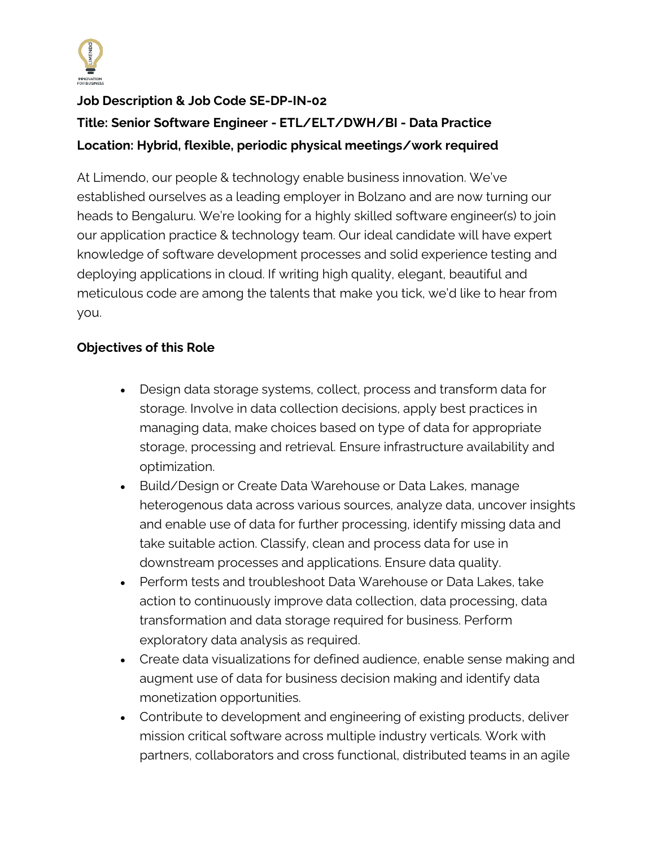

## **Job Description & Job Code SE-DP-IN-02**

# **Title: Senior Software Engineer - ETL/ELT/DWH/BI - Data Practice Location: Hybrid, flexible, periodic physical meetings/work required**

At Limendo, our people & technology enable business innovation. We've established ourselves as a leading employer in Bolzano and are now turning our heads to Bengaluru. We're looking for a highly skilled software engineer(s) to join our application practice & technology team. Our ideal candidate will have expert knowledge of software development processes and solid experience testing and deploying applications in cloud. If writing high quality, elegant, beautiful and meticulous code are among the talents that make you tick, we'd like to hear from you.

## **Objectives of this Role**

- Design data storage systems, collect, process and transform data for storage. Involve in data collection decisions, apply best practices in managing data, make choices based on type of data for appropriate storage, processing and retrieval. Ensure infrastructure availability and optimization.
- Build/Design or Create Data Warehouse or Data Lakes, manage heterogenous data across various sources, analyze data, uncover insights and enable use of data for further processing, identify missing data and take suitable action. Classify, clean and process data for use in downstream processes and applications. Ensure data quality.
- Perform tests and troubleshoot Data Warehouse or Data Lakes, take action to continuously improve data collection, data processing, data transformation and data storage required for business. Perform exploratory data analysis as required.
- Create data visualizations for defined audience, enable sense making and augment use of data for business decision making and identify data monetization opportunities.
- Contribute to development and engineering of existing products, deliver mission critical software across multiple industry verticals. Work with partners, collaborators and cross functional, distributed teams in an agile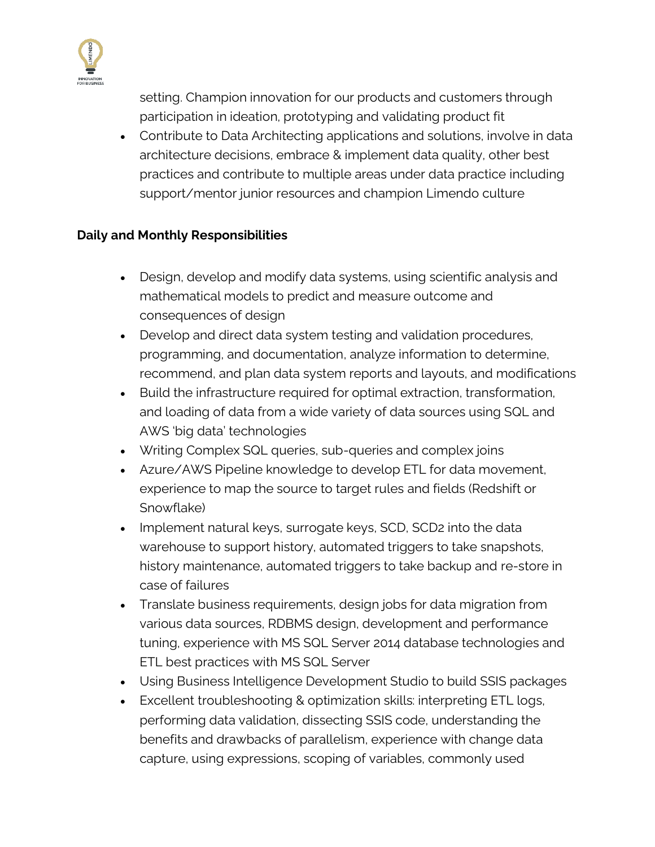

setting. Champion innovation for our products and customers through participation in ideation, prototyping and validating product fit

• Contribute to Data Architecting applications and solutions, involve in data architecture decisions, embrace & implement data quality, other best practices and contribute to multiple areas under data practice including support/mentor junior resources and champion Limendo culture

## **Daily and Monthly Responsibilities**

- Design, develop and modify data systems, using scientific analysis and mathematical models to predict and measure outcome and consequences of design
- Develop and direct data system testing and validation procedures, programming, and documentation, analyze information to determine, recommend, and plan data system reports and layouts, and modifications
- Build the infrastructure required for optimal extraction, transformation, and loading of data from a wide variety of data sources using SQL and AWS 'big data' technologies
- Writing Complex SQL queries, sub-queries and complex joins
- Azure/AWS Pipeline knowledge to develop ETL for data movement, experience to map the source to target rules and fields (Redshift or Snowflake)
- Implement natural keys, surrogate keys, SCD, SCD2 into the data warehouse to support history, automated triggers to take snapshots, history maintenance, automated triggers to take backup and re-store in case of failures
- Translate business requirements, design jobs for data migration from various data sources, RDBMS design, development and performance tuning, experience with MS SQL Server 2014 database technologies and ETL best practices with MS SQL Server
- Using Business Intelligence Development Studio to build SSIS packages
- Excellent troubleshooting & optimization skills: interpreting ETL logs, performing data validation, dissecting SSIS code, understanding the benefits and drawbacks of parallelism, experience with change data capture, using expressions, scoping of variables, commonly used